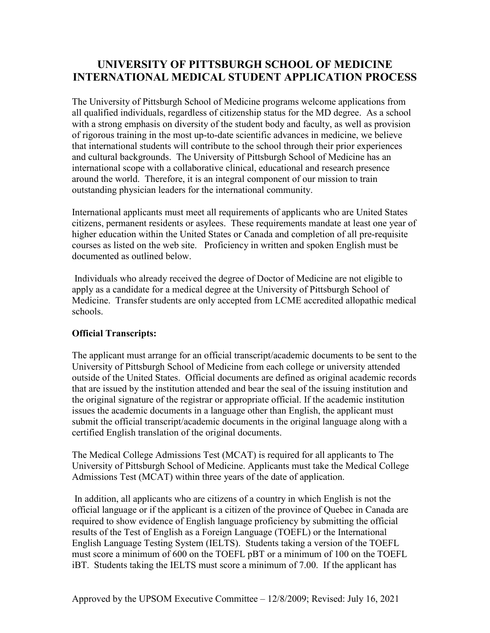# **UNIVERSITY OF PITTSBURGH SCHOOL OF MEDICINE INTERNATIONAL MEDICAL STUDENT APPLICATION PROCESS**

The University of Pittsburgh School of Medicine programs welcome applications from all qualified individuals, regardless of citizenship status for the MD degree. As a school with a strong emphasis on diversity of the student body and faculty, as well as provision of rigorous training in the most up-to-date scientific advances in medicine, we believe that international students will contribute to the school through their prior experiences and cultural backgrounds. The University of Pittsburgh School of Medicine has an international scope with a collaborative clinical, educational and research presence around the world. Therefore, it is an integral component of our mission to train outstanding physician leaders for the international community.

International applicants must meet all requirements of applicants who are United States citizens, permanent residents or asylees. These requirements mandate at least one year of higher education within the United States or Canada and completion of all pre-requisite courses as listed on the web site. Proficiency in written and spoken English must be documented as outlined below.

Individuals who already received the degree of Doctor of Medicine are not eligible to apply as a candidate for a medical degree at the University of Pittsburgh School of Medicine. Transfer students are only accepted from LCME accredited allopathic medical schools.

### **Official Transcripts:**

The applicant must arrange for an official transcript/academic documents to be sent to the University of Pittsburgh School of Medicine from each college or university attended outside of the United States. Official documents are defined as original academic records that are issued by the institution attended and bear the seal of the issuing institution and the original signature of the registrar or appropriate official. If the academic institution issues the academic documents in a language other than English, the applicant must submit the official transcript/academic documents in the original language along with a certified English translation of the original documents.

The Medical College Admissions Test (MCAT) is required for all applicants to The University of Pittsburgh School of Medicine. Applicants must take the Medical College Admissions Test (MCAT) within three years of the date of application.

In addition, all applicants who are citizens of a country in which English is not the official language or if the applicant is a citizen of the province of Quebec in Canada are required to show evidence of English language proficiency by submitting the official results of the Test of English as a Foreign Language (TOEFL) or the International English Language Testing System (IELTS). Students taking a version of the TOEFL must score a minimum of 600 on the TOEFL pBT or a minimum of 100 on the TOEFL iBT. Students taking the IELTS must score a minimum of 7.00. If the applicant has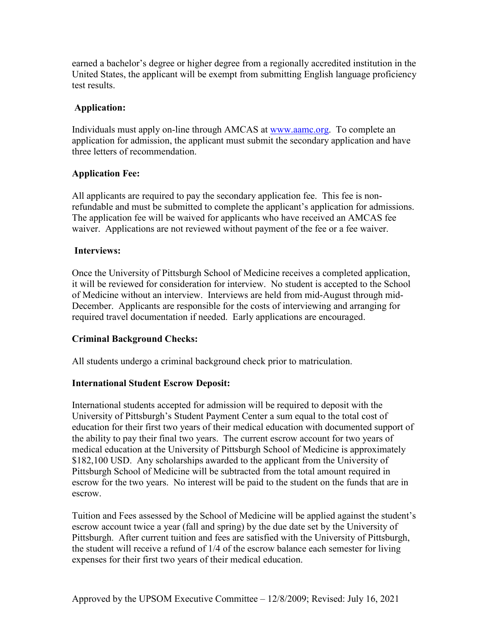earned a bachelor's degree or higher degree from a regionally accredited institution in the United States, the applicant will be exempt from submitting English language proficiency test results.

### **Application:**

Individuals must apply on-line through AMCAS at [www.aamc.org.](http://www.aamc.org/) To complete an application for admission, the applicant must submit the secondary application and have three letters of recommendation.

# **Application Fee:**

All applicants are required to pay the secondary application fee. This fee is nonrefundable and must be submitted to complete the applicant's application for admissions. The application fee will be waived for applicants who have received an AMCAS fee waiver. Applications are not reviewed without payment of the fee or a fee waiver.

# **Interviews:**

Once the University of Pittsburgh School of Medicine receives a completed application, it will be reviewed for consideration for interview. No student is accepted to the School of Medicine without an interview. Interviews are held from mid-August through mid-December. Applicants are responsible for the costs of interviewing and arranging for required travel documentation if needed. Early applications are encouraged.

# **Criminal Background Checks:**

All students undergo a criminal background check prior to matriculation.

# **International Student Escrow Deposit:**

International students accepted for admission will be required to deposit with the University of Pittsburgh's Student Payment Center a sum equal to the total cost of education for their first two years of their medical education with documented support of the ability to pay their final two years. The current escrow account for two years of medical education at the University of Pittsburgh School of Medicine is approximately \$182,100 USD. Any scholarships awarded to the applicant from the University of Pittsburgh School of Medicine will be subtracted from the total amount required in escrow for the two years. No interest will be paid to the student on the funds that are in escrow.

Tuition and Fees assessed by the School of Medicine will be applied against the student's escrow account twice a year (fall and spring) by the due date set by the University of Pittsburgh. After current tuition and fees are satisfied with the University of Pittsburgh, the student will receive a refund of 1/4 of the escrow balance each semester for living expenses for their first two years of their medical education.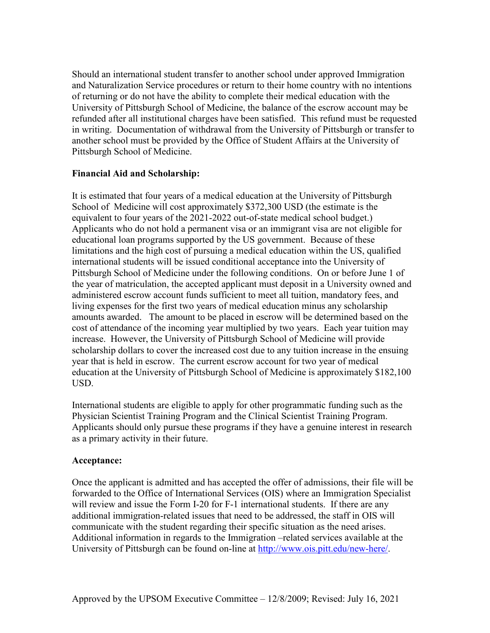Should an international student transfer to another school under approved Immigration and Naturalization Service procedures or return to their home country with no intentions of returning or do not have the ability to complete their medical education with the University of Pittsburgh School of Medicine, the balance of the escrow account may be refunded after all institutional charges have been satisfied. This refund must be requested in writing. Documentation of withdrawal from the University of Pittsburgh or transfer to another school must be provided by the Office of Student Affairs at the University of Pittsburgh School of Medicine.

### **Financial Aid and Scholarship:**

It is estimated that four years of a medical education at the University of Pittsburgh School of Medicine will cost approximately \$372,300 USD (the estimate is the equivalent to four years of the 2021-2022 out-of-state medical school budget.) Applicants who do not hold a permanent visa or an immigrant visa are not eligible for educational loan programs supported by the US government. Because of these limitations and the high cost of pursuing a medical education within the US, qualified international students will be issued conditional acceptance into the University of Pittsburgh School of Medicine under the following conditions. On or before June 1 of the year of matriculation, the accepted applicant must deposit in a University owned and administered escrow account funds sufficient to meet all tuition, mandatory fees, and living expenses for the first two years of medical education minus any scholarship amounts awarded. The amount to be placed in escrow will be determined based on the cost of attendance of the incoming year multiplied by two years. Each year tuition may increase. However, the University of Pittsburgh School of Medicine will provide scholarship dollars to cover the increased cost due to any tuition increase in the ensuing year that is held in escrow. The current escrow account for two year of medical education at the University of Pittsburgh School of Medicine is approximately \$182,100 USD.

International students are eligible to apply for other programmatic funding such as the Physician Scientist Training Program and the Clinical Scientist Training Program. Applicants should only pursue these programs if they have a genuine interest in research as a primary activity in their future.

#### **Acceptance:**

Once the applicant is admitted and has accepted the offer of admissions, their file will be forwarded to the Office of International Services (OIS) where an Immigration Specialist will review and issue the Form I-20 for F-1 international students. If there are any additional immigration-related issues that need to be addressed, the staff in OIS will communicate with the student regarding their specific situation as the need arises. Additional information in regards to the Immigration –related services available at the University of Pittsburgh can be found on-line at [http://www.ois.pitt.edu/new-here/.](http://www.ois.pitt.edu/new-here/)